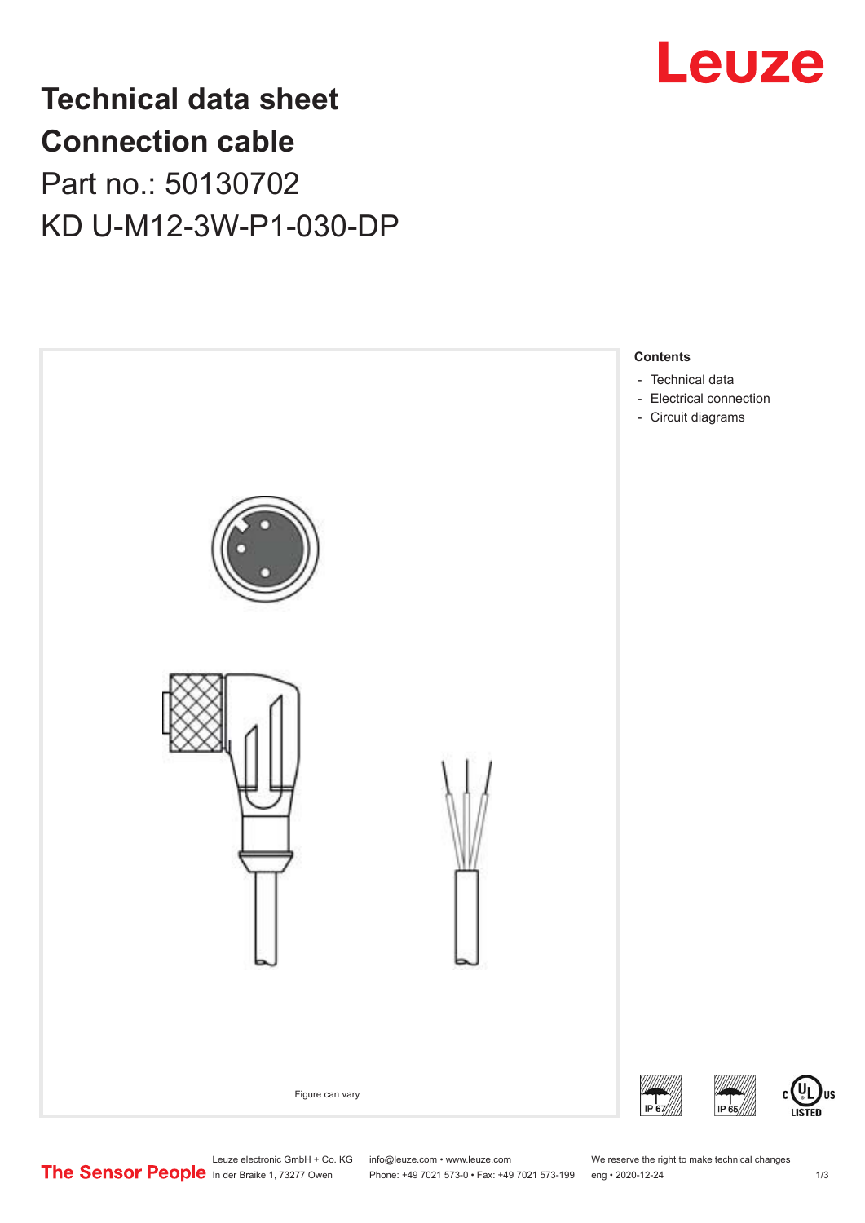

## **Technical data sheet Connection cable** Part no.: 50130702 KD U-M12-3W-P1-030-DP





Leuze electronic GmbH + Co. KG info@leuze.com • www.leuze.com We reserve the right to make technical changes<br>
The Sensor People in der Braike 1, 73277 Owen Phone: +49 7021 573-0 • Fax: +49 7021 573-199 eng • 2020-12-24

Phone: +49 7021 573-0 • Fax: +49 7021 573-199 eng • 2020-12-24 1 2020-12-24

US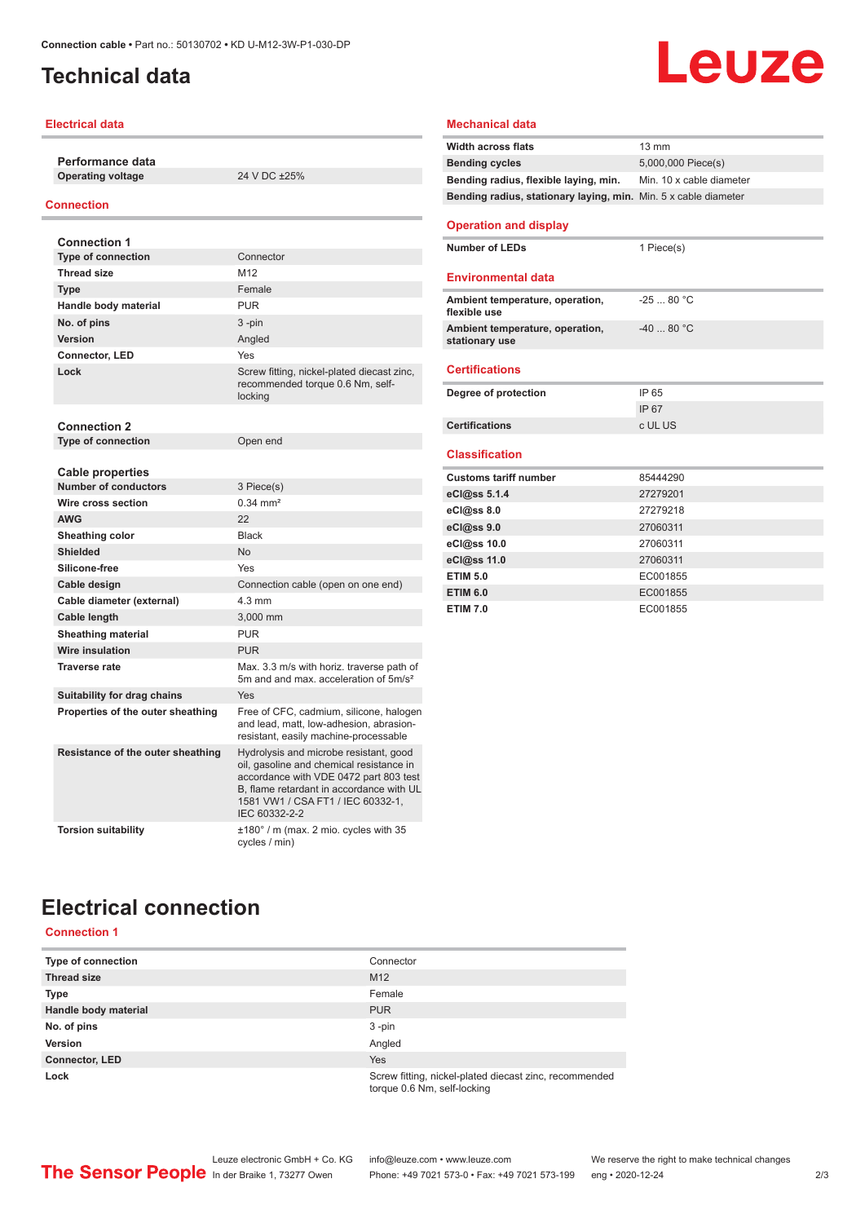## <span id="page-1-0"></span>**Technical data**

#### **Electrical data**

**Performance data Operating voltage** 24 V DC ±25%

#### **Connection**

| <b>Connection 1</b>               |                                                                                                                                                                                                                                |
|-----------------------------------|--------------------------------------------------------------------------------------------------------------------------------------------------------------------------------------------------------------------------------|
| <b>Type of connection</b>         | Connector                                                                                                                                                                                                                      |
| <b>Thread size</b>                | M <sub>12</sub>                                                                                                                                                                                                                |
| <b>Type</b>                       | Female                                                                                                                                                                                                                         |
| Handle body material              | <b>PUR</b>                                                                                                                                                                                                                     |
| No. of pins                       | $3 - pin$                                                                                                                                                                                                                      |
| Version                           | Angled                                                                                                                                                                                                                         |
| <b>Connector, LED</b>             | Yes                                                                                                                                                                                                                            |
| Lock                              | Screw fitting, nickel-plated diecast zinc,<br>recommended torque 0.6 Nm, self-<br>locking                                                                                                                                      |
| <b>Connection 2</b>               |                                                                                                                                                                                                                                |
| <b>Type of connection</b>         | Open end                                                                                                                                                                                                                       |
|                                   |                                                                                                                                                                                                                                |
| <b>Cable properties</b>           |                                                                                                                                                                                                                                |
| <b>Number of conductors</b>       | 3 Piece(s)                                                                                                                                                                                                                     |
| Wire cross section                | $0.34 \, \text{mm}^2$                                                                                                                                                                                                          |
| <b>AWG</b>                        | 22                                                                                                                                                                                                                             |
| Sheathing color                   | <b>Black</b>                                                                                                                                                                                                                   |
| <b>Shielded</b>                   | <b>No</b>                                                                                                                                                                                                                      |
| Silicone-free                     | Yes                                                                                                                                                                                                                            |
| Cable design                      | Connection cable (open on one end)                                                                                                                                                                                             |
| Cable diameter (external)         | $4.3 \text{ mm}$                                                                                                                                                                                                               |
| <b>Cable length</b>               | 3.000 mm                                                                                                                                                                                                                       |
| <b>Sheathing material</b>         | <b>PUR</b>                                                                                                                                                                                                                     |
| <b>Wire insulation</b>            | <b>PUR</b>                                                                                                                                                                                                                     |
| <b>Traverse rate</b>              | Max, 3.3 m/s with horiz, traverse path of<br>5m and and max, acceleration of 5m/s <sup>2</sup>                                                                                                                                 |
| Suitability for drag chains       | Yes                                                                                                                                                                                                                            |
| Properties of the outer sheathing | Free of CFC, cadmium, silicone, halogen<br>and lead, matt, low-adhesion, abrasion-<br>resistant, easily machine-processable                                                                                                    |
| Resistance of the outer sheathing | Hydrolysis and microbe resistant, good<br>oil, gasoline and chemical resistance in<br>accordance with VDE 0472 part 803 test<br>B, flame retardant in accordance with UL<br>1581 VW1 / CSA FT1 / IEC 60332-1.<br>IEC 60332-2-2 |
| <b>Torsion suitability</b>        | ±180° / m (max. 2 mio. cycles with 35<br>cycles / min)                                                                                                                                                                         |

#### **Mechanical data Width across flats** 13 mm **Bending cycles** 5,000,000 Piece(s) **Bending radius, flexible laying, min.** Min. 10 x cable diameter **Bending radius, stationary laying, min.** Min. 5 x cable diameter **Operation and display Number of LEDs** 1 Piece(s) **Environmental data Ambient temperature, operation, flexible use** -25 ... 80 °C **Ambient temperature, operation, stationary use** -40 ... 80 °C **Certifications**

| Degree of protection  | IP 65   |
|-----------------------|---------|
|                       | IP 67   |
| <b>Certifications</b> | c UL US |
|                       |         |

#### **Classification**

| <b>Customs tariff number</b> | 85444290 |
|------------------------------|----------|
| eCl@ss 5.1.4                 | 27279201 |
| eCl@ss 8.0                   | 27279218 |
| eCl@ss 9.0                   | 27060311 |
| eCl@ss 10.0                  | 27060311 |
| eCl@ss 11.0                  | 27060311 |
| <b>ETIM 5.0</b>              | EC001855 |
| <b>ETIM 6.0</b>              | EC001855 |
| <b>ETIM 7.0</b>              | EC001855 |
|                              |          |

## **Electrical connection**

#### **Connection 1**

| Type of connection    | Connector                                                                             |
|-----------------------|---------------------------------------------------------------------------------------|
| <b>Thread size</b>    | M <sub>12</sub>                                                                       |
| <b>Type</b>           | Female                                                                                |
| Handle body material  | <b>PUR</b>                                                                            |
| No. of pins           | $3 - pin$                                                                             |
| Version               | Angled                                                                                |
| <b>Connector, LED</b> | Yes                                                                                   |
| Lock                  | Screw fitting, nickel-plated diecast zinc, recommended<br>torque 0.6 Nm, self-locking |

Phone: +49 7021 573-0 • Fax: +49 7021 573-199 eng • 2020-12-24 2 2/3

# Leuze